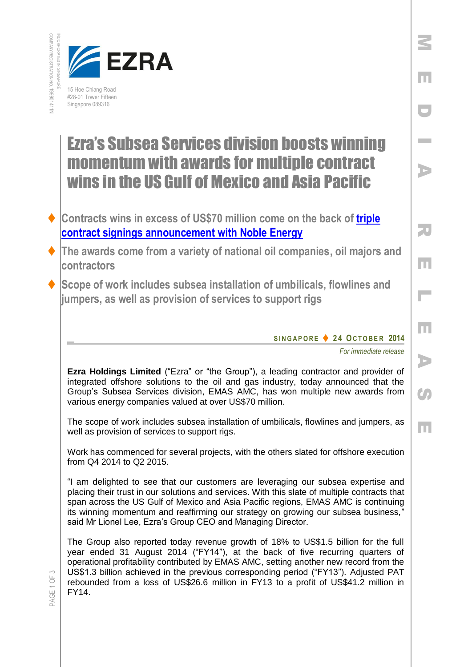



## Ezra's Subsea Services division boosts winning momentum with awards for multiple contract wins in the US Gulf of Mexico and Asia Pacific

- **Contracts wins in excess of US\$70 million come on the back of [triple](http://www.emas.com/index.php/media-room/press-releases/emas-amc-finalises-triple-contract-signings-with-noble-energy-for-subsea-tie-back-projects-in-the-us-gulf-of-mexico/)  [contract signings announcement with Noble Energy](http://www.emas.com/index.php/media-room/press-releases/emas-amc-finalises-triple-contract-signings-with-noble-energy-for-subsea-tie-back-projects-in-the-us-gulf-of-mexico/)**
- **The awards come from a variety of national oil companies, oil majors and contractors**
- **Scope of work includes subsea installation of umbilicals, flowlines and jumpers, as well as provision of services to support rigs**

## **S I N G A P O R E 2 4 OC T O B E R 2014**

*For immediate release*

M

E

D

I

A

R

E

L

E

A

 $\mathcal{C}$ 

E

**Ezra Holdings Limited** ("Ezra" or "the Group"), a leading contractor and provider of integrated offshore solutions to the oil and gas industry, today announced that the Group's Subsea Services division, EMAS AMC, has won multiple new awards from various energy companies valued at over US\$70 million.

The scope of work includes subsea installation of umbilicals, flowlines and jumpers, as well as provision of services to support rigs.

Work has commenced for several projects, with the others slated for offshore execution from Q4 2014 to Q2 2015.

"I am delighted to see that our customers are leveraging our subsea expertise and placing their trust in our solutions and services. With this slate of multiple contracts that span across the US Gulf of Mexico and Asia Pacific regions, EMAS AMC is continuing its winning momentum and reaffirming our strategy on growing our subsea business," said Mr Lionel Lee, Ezra's Group CEO and Managing Director.

The Group also reported today revenue growth of 18% to US\$1.5 billion for the full year ended 31 August 2014 ("FY14"), at the back of five recurring quarters of operational profitability contributed by EMAS AMC, setting another new record from the US\$1.3 billion achieved in the previous corresponding period ("FY13"). Adjusted PAT rebounded from a loss of US\$26.6 million in FY13 to a profit of US\$41.2 million in FY14.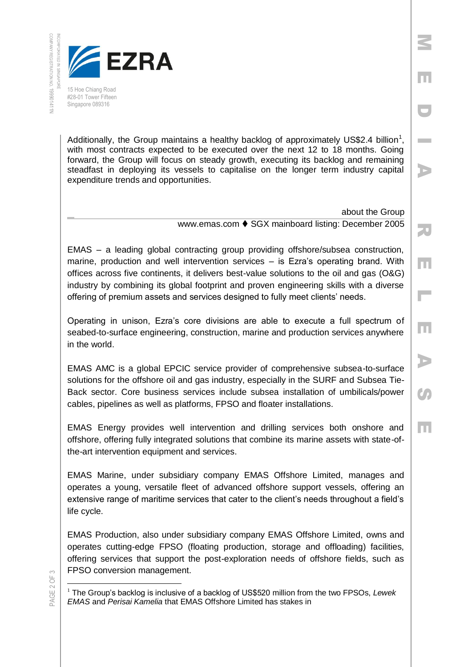

Singapore 089316

Additionally, the Group maintains a healthy backlog of approximately US\$2.4 billion<sup>1</sup>, with most contracts expected to be executed over the next 12 to 18 months. Going forward, the Group will focus on steady growth, executing its backlog and remaining steadfast in deploying its vessels to capitalise on the longer term industry capital expenditure trends and opportunities.

> about the Group www.emas.com ♦ SGX mainboard listing: December 2005

M

E

D

I

A

R

E

 $\mathbb{R}^{\mathbb{Z}}$ 

E

A

Co

E

EMAS – a leading global contracting group providing offshore/subsea construction, marine, production and well intervention services – is Ezra's operating brand. With offices across five continents, it delivers best-value solutions to the oil and gas (O&G) industry by combining its global footprint and proven engineering skills with a diverse offering of premium assets and services designed to fully meet clients' needs.

Operating in unison, Ezra's core divisions are able to execute a full spectrum of seabed-to-surface engineering, construction, marine and production services anywhere in the world.

EMAS AMC is a global EPCIC service provider of comprehensive subsea-to-surface solutions for the offshore oil and gas industry, especially in the SURF and Subsea Tie-Back sector. Core business services include subsea installation of umbilicals/power cables, pipelines as well as platforms, FPSO and floater installations.

EMAS Energy provides well intervention and drilling services both onshore and offshore, offering fully integrated solutions that combine its marine assets with state-ofthe-art intervention equipment and services.

EMAS Marine, under subsidiary company EMAS Offshore Limited, manages and operates a young, versatile fleet of advanced offshore support vessels, offering an extensive range of maritime services that cater to the client's needs throughout a field's life cycle.

EMAS Production, also under subsidiary company EMAS Offshore Limited, owns and operates cutting-edge FPSO (floating production, storage and offloading) facilities, offering services that support the post-exploration needs of offshore fields, such as FPSO conversion management.

PAGE 2 OF 3

 $\overline{a}$ <sup>1</sup> The Group's backlog is inclusive of a backlog of US\$520 million from the two FPSOs, Lewek *EMAS* and *Perisai Kamelia* that EMAS Offshore Limited has stakes in